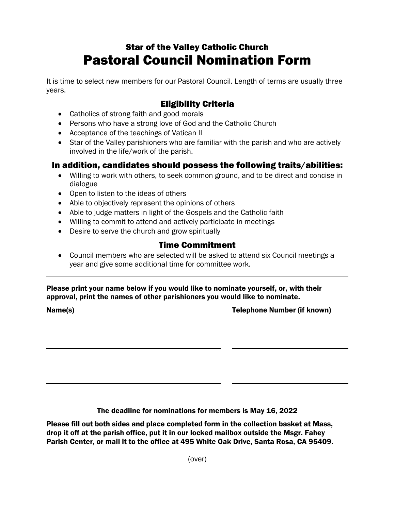# Star of the Valley Catholic Church Pastoral Council Nomination Form

It is time to select new members for our Pastoral Council. Length of terms are usually three years.

## Eligibility Criteria

- Catholics of strong faith and good morals
- Persons who have a strong love of God and the Catholic Church
- Acceptance of the teachings of Vatican II
- Star of the Valley parishioners who are familiar with the parish and who are actively involved in the life/work of the parish.

### In addition, candidates should possess the following traits/abilities:

- Willing to work with others, to seek common ground, and to be direct and concise in dialogue
- Open to listen to the ideas of others
- Able to objectively represent the opinions of others
- Able to judge matters in light of the Gospels and the Catholic faith
- Willing to commit to attend and actively participate in meetings
- Desire to serve the church and grow spiritually

### Time Commitment

• Council members who are selected will be asked to attend six Council meetings a year and give some additional time for committee work.

#### Please print your name below if you would like to nominate yourself, or, with their approval, print the names of other parishioners you would like to nominate.

Name(s) Telephone Number (if known)

The deadline for nominations for members is May 16, 2022

Please fill out both sides and place completed form in the collection basket at Mass, drop it off at the parish office, put it in our locked mailbox outside the Msgr. Fahey Parish Center, or mail it to the office at 495 White Oak Drive, Santa Rosa, CA 95409.